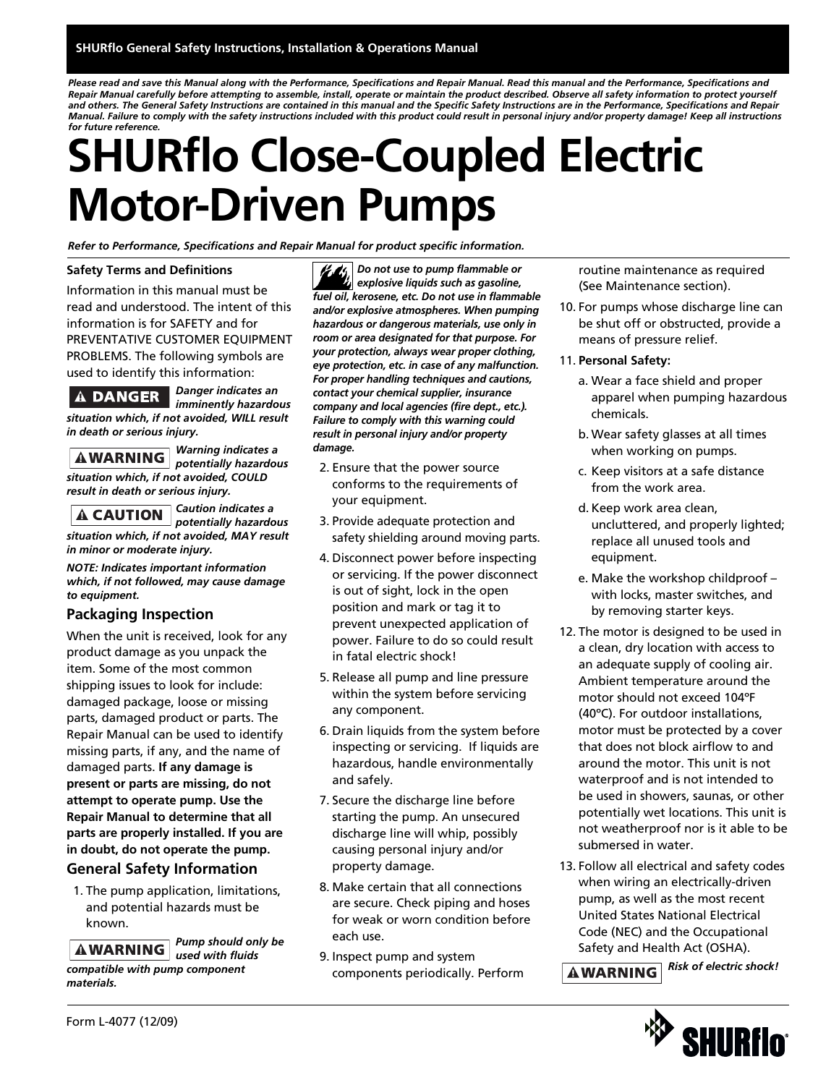*Please read and save this Manual along with the Performance, Specifications and Repair Manual. Read this manual and the Performance, Specifications and Repair Manual carefully before attempting to assemble, install, operate or maintain the product described. Observe all safety information to protect yourself and others. The General Safety Instructions are contained in this manual and the Specific Safety Instructions are in the Performance, Specifications and Repair Manual. Failure to comply with the safety instructions included with this product could result in personal injury and/or property damage! Keep all instructions for future reference.*

# **SHURflo Close-Coupled Electric Motor-Driven Pumps**

*Refer to Performance, Specifications and Repair Manual for product specific information.*

#### **Safety Terms and Definitions**

Information in this manual must be read and understood. The intent of this information is for SAFETY and for PREVENTATIVE CUSTOMER EQUIPMENT PROBLEMS. The following symbols are used to identify this information:

#### **A DANGER**

*Danger indicates an imminently hazardous*

*situation which, if not avoided, WILL result in death or serious injury.*

*Warning indicates a situation which, if not avoided, COULD result in death or serious injury.*

*potentially hazardous*

*Caution indicates a potentially hazardous*

*situation which, if not avoided, MAY result in minor or moderate injury.*

*NOTE: Indicates important information which, if not followed, may cause damage to equipment.*

#### **Packaging Inspection**

When the unit is received, look for any product damage as you unpack the item. Some of the most common shipping issues to look for include: damaged package, loose or missing parts, damaged product or parts. The Repair Manual can be used to identify missing parts, if any, and the name of damaged parts. **If any damage is present or parts are missing, do not attempt to operate pump. Use the Repair Manual to determine that all parts are properly installed. If you are in doubt, do not operate the pump.**

#### **General Safety Information**

1. The pump application, limitations, and potential hazards must be known.

*Pump should only be* **AWARNING** *used with fluids compatible with pump component materials.*

*Do not use to pump flammable or explosive liquids such as gasoline, fuel oil, kerosene, etc. Do not use in flammable and/or explosive atmospheres. When pumping hazardous or dangerous materials, use only in room or area designated for that purpose. For your protection, always wear proper clothing, eye protection, etc. in case of any malfunction. For proper handling techniques and cautions, contact your chemical supplier, insurance company and local agencies (fire dept., etc.). Failure to comply with this warning could result in personal injury and/or property damage.*

- 2. Ensure that the power source conforms to the requirements of your equipment.
- 3. Provide adequate protection and safety shielding around moving parts.
- 4. Disconnect power before inspecting or servicing. If the power disconnect is out of sight, lock in the open position and mark or tag it to prevent unexpected application of power. Failure to do so could result in fatal electric shock!
- 5. Release all pump and line pressure within the system before servicing any component.
- 6. Drain liquids from the system before inspecting or servicing. If liquids are hazardous, handle environmentally and safely.
- 7. Secure the discharge line before starting the pump. An unsecured discharge line will whip, possibly causing personal injury and/or property damage.
- 8. Make certain that all connections are secure. Check piping and hoses for weak or worn condition before each use.
- 9. Inspect pump and system components periodically. Perform

routine maintenance as required (See Maintenance section).

- 10. For pumps whose discharge line can be shut off or obstructed, provide a means of pressure relief.
- 11. **Personal Safety:**
	- a. Wear a face shield and proper apparel when pumping hazardous chemicals.
	- b. Wear safety glasses at all times when working on pumps.
	- c. Keep visitors at a safe distance from the work area.
	- d. Keep work area clean, uncluttered, and properly lighted; replace all unused tools and equipment.
	- e. Make the workshop childproof with locks, master switches, and by removing starter keys.
- 12. The motor is designed to be used in a clean, dry location with access to an adequate supply of cooling air. Ambient temperature around the motor should not exceed 104ºF (40ºC). For outdoor installations, motor must be protected by a cover that does not block airflow to and around the motor. This unit is not waterproof and is not intended to be used in showers, saunas, or other potentially wet locations. This unit is not weatherproof nor is it able to be submersed in water.
- 13. Follow all electrical and safety codes when wiring an electrically-driven pump, as well as the most recent United States National Electrical Code (NEC) and the Occupational Safety and Health Act (OSHA).

### *Risk of electric shock!*

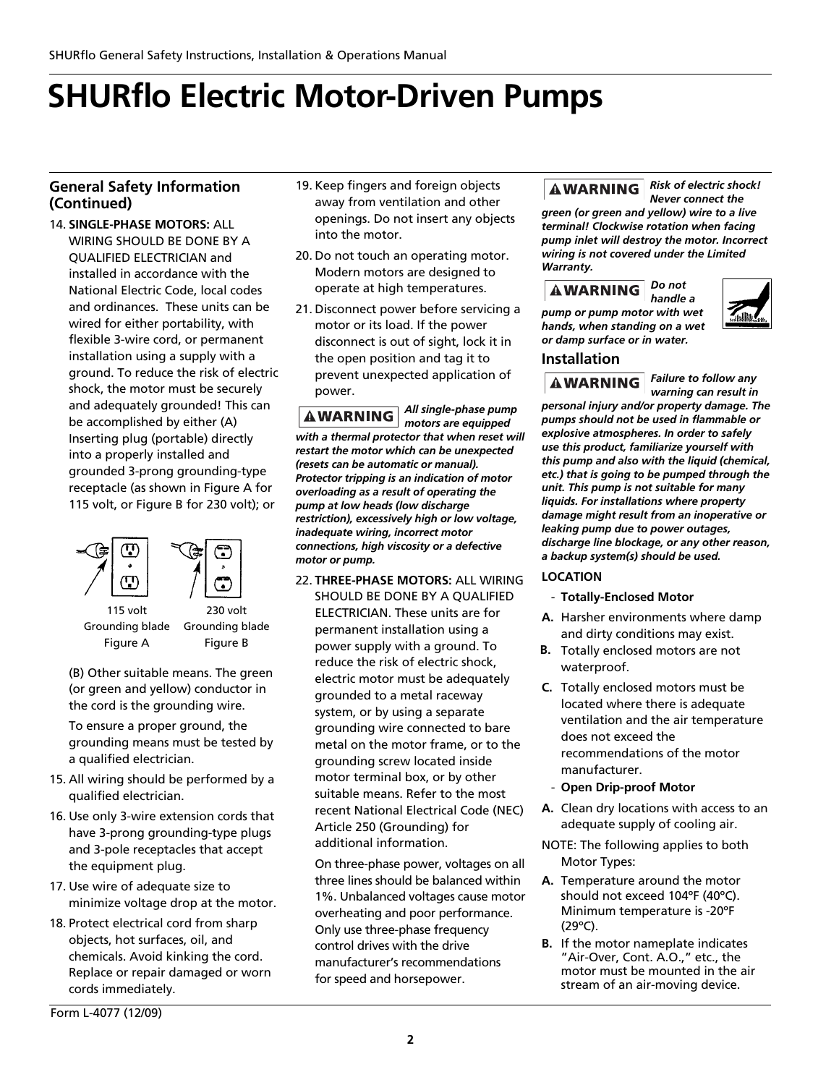#### **General Safety Information (Continued)**

14. **SINGLE-PHASE MOTORS:** ALL WIRING SHOULD BE DONE BY A QUALIFIED ELECTRICIAN and installed in accordance with the National Electric Code, local codes and ordinances. These units can be wired for either portability, with flexible 3-wire cord, or permanent installation using a supply with a ground. To reduce the risk of electric shock, the motor must be securely and adequately grounded! This can be accomplished by either (A) Inserting plug (portable) directly into a properly installed and grounded 3-prong grounding-type receptacle (as shown in Figure A for 115 volt, or Figure B for 230 volt); or



Grounding blade Figure B

(B) Other suitable means. The green (or green and yellow) conductor in the cord is the grounding wire.

To ensure a proper ground, the grounding means must be tested by a qualified electrician.

- 15. All wiring should be performed by a qualified electrician.
- 16. Use only 3-wire extension cords that have 3-prong grounding-type plugs and 3-pole receptacles that accept the equipment plug.
- 17. Use wire of adequate size to minimize voltage drop at the motor.
- 18. Protect electrical cord from sharp objects, hot surfaces, oil, and chemicals. Avoid kinking the cord. Replace or repair damaged or worn cords immediately.

Form L-4077 (12/09)

- 19. Keep fingers and foreign objects away from ventilation and other openings. Do not insert any objects into the motor.
- 20. Do not touch an operating motor. Modern motors are designed to operate at high temperatures.
- 21. Disconnect power before servicing a motor or its load. If the power disconnect is out of sight, lock it in the open position and tag it to prevent unexpected application of power.

*All single-phase pump* **AWARNING** *motors are equipped with a thermal protector that when reset will restart the motor which can be unexpected (resets can be automatic or manual). Protector tripping is an indication of motor overloading as a result of operating the pump at low heads (low discharge restriction), excessively high or low voltage, inadequate wiring, incorrect motor connections, high viscosity or a defective motor or pump.*

22. **THREE-PHASE MOTORS:** ALL WIRING SHOULD BE DONE BY A QUALIFIED ELECTRICIAN. These units are for permanent installation using a power supply with a ground. To reduce the risk of electric shock, electric motor must be adequately grounded to a metal raceway system, or by using a separate grounding wire connected to bare metal on the motor frame, or to the grounding screw located inside motor terminal box, or by other suitable means. Refer to the most recent National Electrical Code (NEC) Article 250 (Grounding) for additional information.

On three-phase power, voltages on all three lines should be balanced within 1%. Unbalanced voltages cause motor overheating and poor performance. Only use three-phase frequency control drives with the drive manufacturer's recommendations for speed and horsepower.

#### *Risk of electric shock!* **AWARNING** *Never connect the*

*green (or green and yellow) wire to a live terminal! Clockwise rotation when facing pump inlet will destroy the motor. Incorrect wiring is not covered under the Limited Warranty.*

#### *Do not*

*handle a pump or pump motor with wet hands, when standing on a wet or damp surface or in water.*



#### **Installation**

*Failure to follow any* **AWARNING** *warning can result in*

*personal injury and/or property damage. The pumps should not be used in flammable or explosive atmospheres. In order to safely use this product, familiarize yourself with this pump and also with the liquid (chemical, etc.) that is going to be pumped through the unit. This pump is not suitable for many liquids. For installations where property damage might result from an inoperative or leaking pump due to power outages, discharge line blockage, or any other reason, a backup system(s) should be used.*

#### **LOCATION**

- **Totally-Enclosed Motor**
- **A.** Harsher environments where damp and dirty conditions may exist.
- **B.** Totally enclosed motors are not waterproof.
- **C.** Totally enclosed motors must be located where there is adequate ventilation and the air temperature does not exceed the recommendations of the motor manufacturer.
- **Open Drip-proof Motor**
- **A.** Clean dry locations with access to an adequate supply of cooling air.
- NOTE: The following applies to both Motor Types:
- **A.** Temperature around the motor should not exceed 104ºF (40ºC). Minimum temperature is -20ºF (29ºC).
- **B.** If the motor nameplate indicates "Air-Over, Cont. A.O.," etc., the motor must be mounted in the air stream of an air-moving device.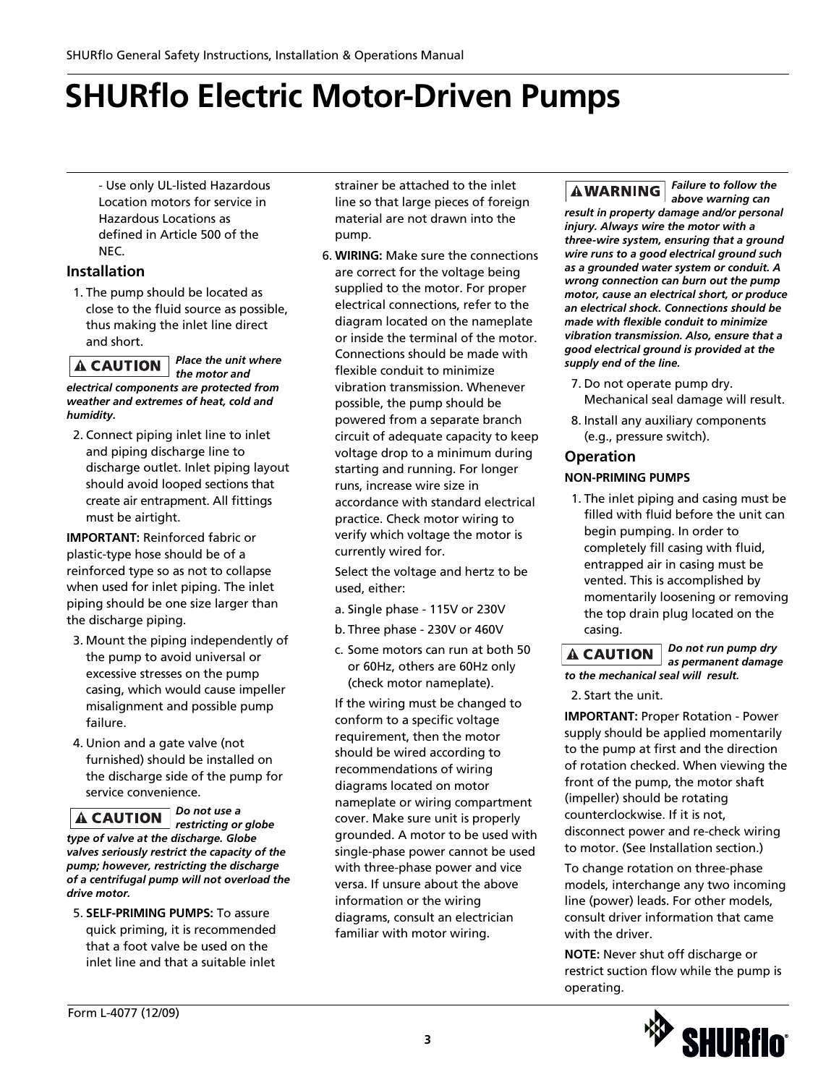- Use only UL-listed Hazardous Location motors for service in Hazardous Locations as defined in Article 500 of the NEC.

#### **Installation**

1. The pump should be located as close to the fluid source as possible, thus making the inlet line direct and short.

*Place the unit where* **A CAUTION** *the motor and electrical components are protected from weather and extremes of heat, cold and humidity.*

2. Connect piping inlet line to inlet and piping discharge line to discharge outlet. Inlet piping layout should avoid looped sections that create air entrapment. All fittings must be airtight.

**IMPORTANT:** Reinforced fabric or plastic-type hose should be of a reinforced type so as not to collapse when used for inlet piping. The inlet piping should be one size larger than the discharge piping.

- 3. Mount the piping independently of the pump to avoid universal or excessive stresses on the pump casing, which would cause impeller misalignment and possible pump failure.
- 4. Union and a gate valve (not furnished) should be installed on the discharge side of the pump for service convenience.

*Do not use a* **A CAUTION** 

*restricting or globe type of valve at the discharge. Globe valves seriously restrict the capacity of the pump; however, restricting the discharge of a centrifugal pump will not overload the drive motor.*

5. **SELF-PRIMING PUMPS:** To assure quick priming, it is recommended that a foot valve be used on the inlet line and that a suitable inlet

strainer be attached to the inlet line so that large pieces of foreign material are not drawn into the pump.

6. **WIRING:** Make sure the connections are correct for the voltage being supplied to the motor. For proper electrical connections, refer to the diagram located on the nameplate or inside the terminal of the motor. Connections should be made with flexible conduit to minimize vibration transmission. Whenever possible, the pump should be powered from a separate branch circuit of adequate capacity to keep voltage drop to a minimum during starting and running. For longer runs, increase wire size in accordance with standard electrical practice. Check motor wiring to verify which voltage the motor is currently wired for.

Select the voltage and hertz to be used, either:

- a. Single phase 115V or 230V
- b. Three phase 230V or 460V
- c. Some motors can run at both 50 or 60Hz, others are 60Hz only (check motor nameplate).

If the wiring must be changed to conform to a specific voltage requirement, then the motor should be wired according to recommendations of wiring diagrams located on motor nameplate or wiring compartment cover. Make sure unit is properly grounded. A motor to be used with single-phase power cannot be used with three-phase power and vice versa. If unsure about the above information or the wiring diagrams, consult an electrician familiar with motor wiring.

*Failure to follow the above warning can*

*result in property damage and/or personal injury. Always wire the motor with a three-wire system, ensuring that a ground wire runs to a good electrical ground such as a grounded water system or conduit. A wrong connection can burn out the pump motor, cause an electrical short, or produce an electrical shock. Connections should be made with flexible conduit to minimize vibration transmission. Also, ensure that a good electrical ground is provided at the supply end of the line.* 

- 7. Do not operate pump dry. Mechanical seal damage will result.
- 8. Install any auxiliary components (e.g., pressure switch).

#### **Operation**

#### **NON-PRIMING PUMPS**

1. The inlet piping and casing must be filled with fluid before the unit can begin pumping. In order to completely fill casing with fluid, entrapped air in casing must be vented. This is accomplished by momentarily loosening or removing the top drain plug located on the casing.

*Do not run pump dry*  $\blacktriangle$  CAUTION  $\mid$ *as permanent damage to the mechanical seal will result.*

2. Start the unit.

**IMPORTANT: Proper Rotation - Power** supply should be applied momentarily to the pump at first and the direction of rotation checked. When viewing the front of the pump, the motor shaft (impeller) should be rotating counterclockwise. If it is not, disconnect power and re-check wiring to motor. (See Installation section.)

To change rotation on three-phase models, interchange any two incoming line (power) leads. For other models, consult driver information that came with the driver.

**NOTE:** Never shut off discharge or restrict suction flow while the pump is operating.

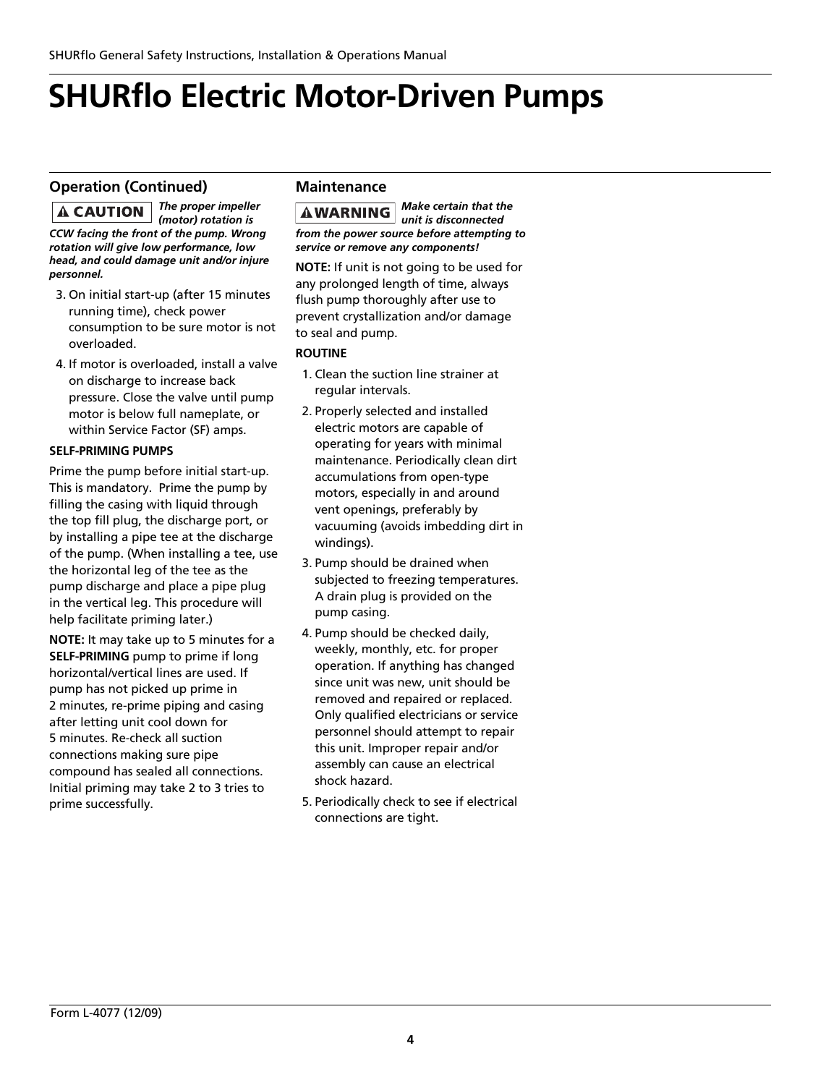#### **Operation (Continued)**

*The proper impeller* **A CAUTION** *(motor) rotation is CCW facing the front of the pump. Wrong rotation will give low performance, low head, and could damage unit and/or injure personnel.*

- 3. On initial start-up (after 15 minutes running time), check power consumption to be sure motor is not overloaded.
- 4. If motor is overloaded, install a valve on discharge to increase back pressure. Close the valve until pump motor is below full nameplate, or within Service Factor (SF) amps.

#### **SELF-PRIMING PUMPS**

Prime the pump before initial start-up. This is mandatory. Prime the pump by filling the casing with liquid through the top fill plug, the discharge port, or by installing a pipe tee at the discharge of the pump. (When installing a tee, use the horizontal leg of the tee as the pump discharge and place a pipe plug in the vertical leg. This procedure will help facilitate priming later.)

**NOTE:** It may take up to 5 minutes for a **SELF-PRIMING** pump to prime if long horizontal/vertical lines are used. If pump has not picked up prime in 2 minutes, re-prime piping and casing after letting unit cool down for 5 minutes. Re-check all suction connections making sure pipe compound has sealed all connections. Initial priming may take 2 to 3 tries to prime successfully.

#### **Maintenance**

*Make certain that the unit is disconnected from the power source before attempting to service or remove any components!*

**NOTE:** If unit is not going to be used for any prolonged length of time, always flush pump thoroughly after use to prevent crystallization and/or damage to seal and pump.

#### **ROUTINE**

- 1. Clean the suction line strainer at regular intervals.
- 2. Properly selected and installed electric motors are capable of operating for years with minimal maintenance. Periodically clean dirt accumulations from open-type motors, especially in and around vent openings, preferably by vacuuming (avoids imbedding dirt in windings).
- 3. Pump should be drained when subjected to freezing temperatures. A drain plug is provided on the pump casing.
- 4. Pump should be checked daily, weekly, monthly, etc. for proper operation. If anything has changed since unit was new, unit should be removed and repaired or replaced. Only qualified electricians or service personnel should attempt to repair this unit. Improper repair and/or assembly can cause an electrical shock hazard.
- 5. Periodically check to see if electrical connections are tight.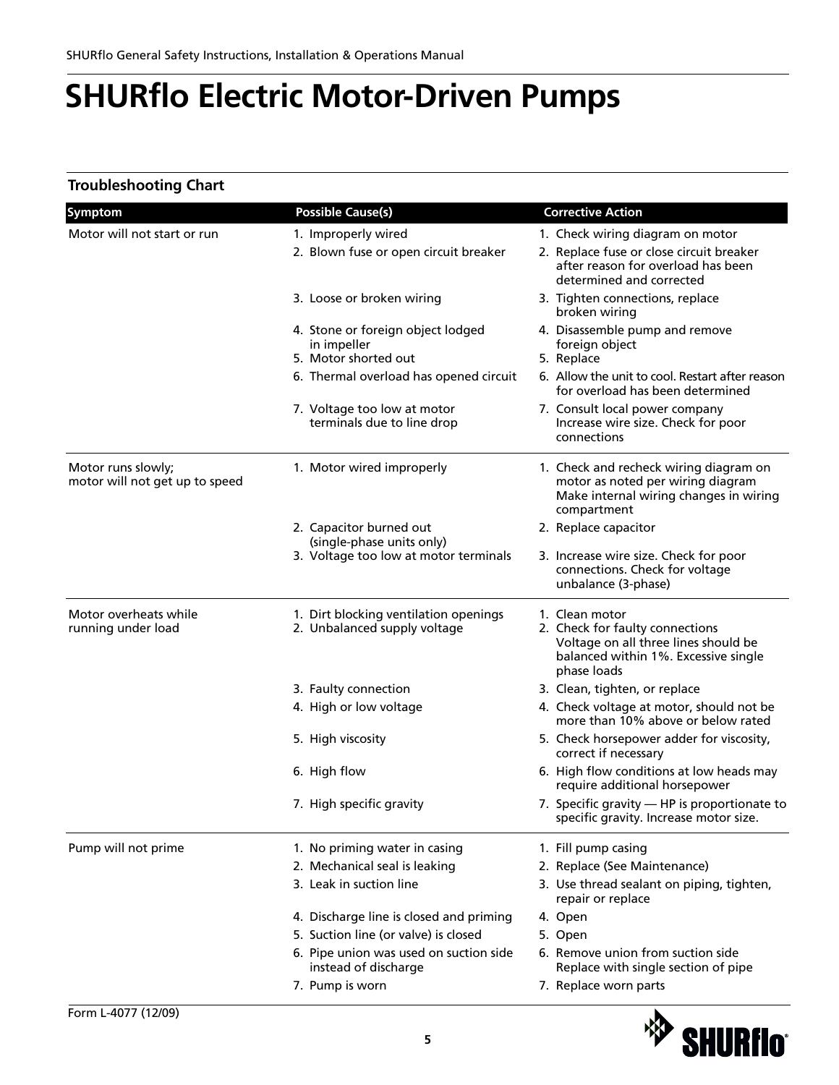#### **Troubleshooting Chart**

| Symptom                                              | <b>Possible Cause(s)</b>                                                 | <b>Corrective Action</b>                                                                                                                         |
|------------------------------------------------------|--------------------------------------------------------------------------|--------------------------------------------------------------------------------------------------------------------------------------------------|
| Motor will not start or run                          | 1. Improperly wired                                                      | 1. Check wiring diagram on motor                                                                                                                 |
|                                                      | 2. Blown fuse or open circuit breaker                                    | 2. Replace fuse or close circuit breaker<br>after reason for overload has been<br>determined and corrected                                       |
|                                                      | 3. Loose or broken wiring                                                | 3. Tighten connections, replace<br>broken wiring                                                                                                 |
|                                                      | 4. Stone or foreign object lodged<br>in impeller<br>5. Motor shorted out | 4. Disassemble pump and remove<br>foreign object<br>5. Replace                                                                                   |
|                                                      | 6. Thermal overload has opened circuit                                   | 6. Allow the unit to cool. Restart after reason<br>for overload has been determined                                                              |
|                                                      | 7. Voltage too low at motor<br>terminals due to line drop                | 7. Consult local power company<br>Increase wire size. Check for poor<br>connections                                                              |
| Motor runs slowly;<br>motor will not get up to speed | 1. Motor wired improperly                                                | 1. Check and recheck wiring diagram on<br>motor as noted per wiring diagram<br>Make internal wiring changes in wiring<br>compartment             |
|                                                      | 2. Capacitor burned out<br>(single-phase units only)                     | 2. Replace capacitor                                                                                                                             |
|                                                      | 3. Voltage too low at motor terminals                                    | 3. Increase wire size. Check for poor<br>connections. Check for voltage<br>unbalance (3-phase)                                                   |
| Motor overheats while<br>running under load          | 1. Dirt blocking ventilation openings<br>2. Unbalanced supply voltage    | 1. Clean motor<br>2. Check for faulty connections<br>Voltage on all three lines should be<br>balanced within 1%. Excessive single<br>phase loads |
|                                                      | 3. Faulty connection                                                     | 3. Clean, tighten, or replace                                                                                                                    |
|                                                      | 4. High or low voltage                                                   | 4. Check voltage at motor, should not be<br>more than 10% above or below rated                                                                   |
|                                                      | 5. High viscosity                                                        | 5. Check horsepower adder for viscosity,<br>correct if necessary                                                                                 |
|                                                      | 6. High flow                                                             | 6. High flow conditions at low heads may<br>require additional horsepower                                                                        |
|                                                      | 7. High specific gravity                                                 | 7. Specific gravity - HP is proportionate to<br>specific gravity. Increase motor size.                                                           |
| Pump will not prime                                  | 1. No priming water in casing                                            | 1. Fill pump casing                                                                                                                              |
|                                                      | 2. Mechanical seal is leaking                                            | 2. Replace (See Maintenance)                                                                                                                     |
|                                                      | 3. Leak in suction line                                                  | 3. Use thread sealant on piping, tighten,<br>repair or replace                                                                                   |
|                                                      | 4. Discharge line is closed and priming                                  | 4. Open                                                                                                                                          |
|                                                      | 5. Suction line (or valve) is closed                                     | 5. Open                                                                                                                                          |
|                                                      | 6. Pipe union was used on suction side<br>instead of discharge           | 6. Remove union from suction side<br>Replace with single section of pipe                                                                         |
|                                                      | 7. Pump is worn                                                          | 7. Replace worn parts                                                                                                                            |
|                                                      |                                                                          |                                                                                                                                                  |

<sup><sup>\*\*</sup>> SHURflo\*</sup>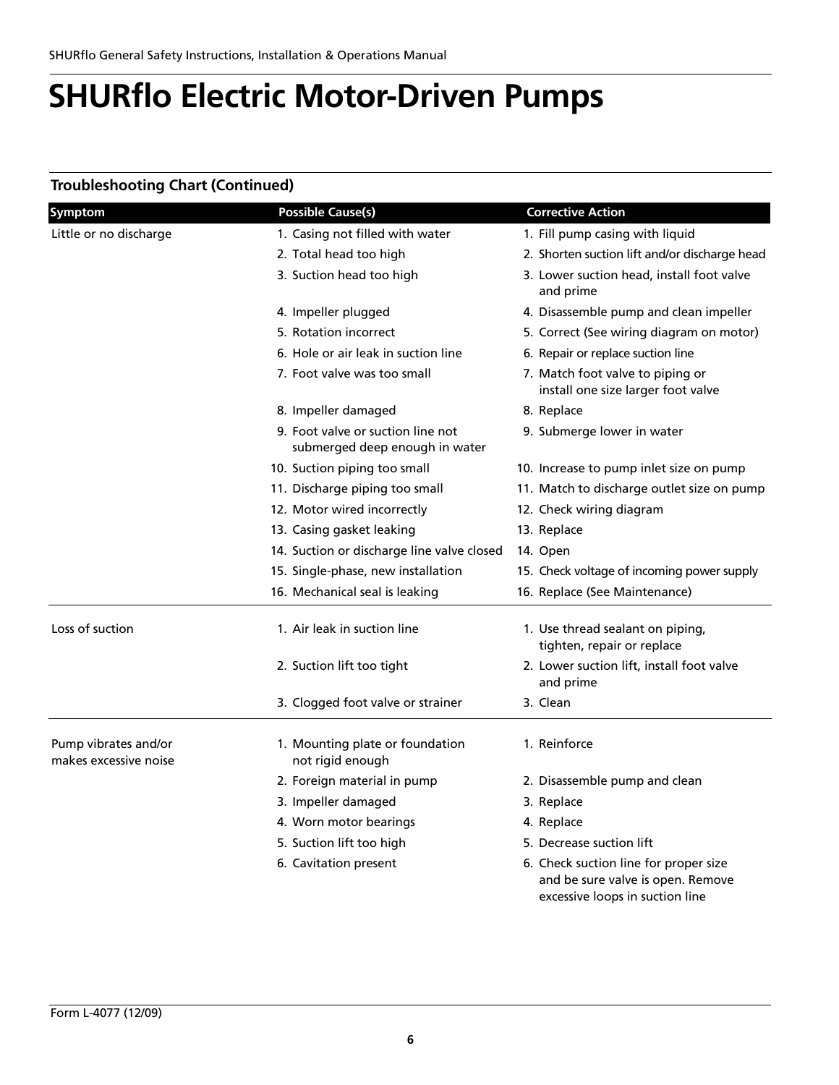### **Troubleshooting Chart (Continued)**

| Symptom                                       | <b>Possible Cause(s)</b>                                            | <b>Corrective Action</b>                                                                                      |
|-----------------------------------------------|---------------------------------------------------------------------|---------------------------------------------------------------------------------------------------------------|
| Little or no discharge                        | 1. Casing not filled with water                                     | 1. Fill pump casing with liquid                                                                               |
|                                               | 2. Total head too high                                              | 2. Shorten suction lift and/or discharge head                                                                 |
|                                               | 3. Suction head too high                                            | 3. Lower suction head, install foot valve<br>and prime                                                        |
|                                               | 4. Impeller plugged                                                 | 4. Disassemble pump and clean impeller                                                                        |
|                                               | 5. Rotation incorrect                                               | 5. Correct (See wiring diagram on motor)                                                                      |
|                                               | 6. Hole or air leak in suction line                                 | 6. Repair or replace suction line                                                                             |
|                                               | 7. Foot valve was too small                                         | 7. Match foot valve to piping or<br>install one size larger foot valve                                        |
|                                               | 8. Impeller damaged                                                 | 8. Replace                                                                                                    |
|                                               | 9. Foot valve or suction line not<br>submerged deep enough in water | 9. Submerge lower in water                                                                                    |
|                                               | 10. Suction piping too small                                        | 10. Increase to pump inlet size on pump                                                                       |
|                                               | 11. Discharge piping too small                                      | 11. Match to discharge outlet size on pump                                                                    |
|                                               | 12. Motor wired incorrectly                                         | 12. Check wiring diagram                                                                                      |
|                                               | 13. Casing gasket leaking                                           | 13. Replace                                                                                                   |
|                                               | 14. Suction or discharge line valve closed                          | 14. Open                                                                                                      |
|                                               | 15. Single-phase, new installation                                  | 15. Check voltage of incoming power supply                                                                    |
|                                               | 16. Mechanical seal is leaking                                      | 16. Replace (See Maintenance)                                                                                 |
| Loss of suction                               | 1. Air leak in suction line                                         | 1. Use thread sealant on piping,<br>tighten, repair or replace                                                |
|                                               | 2. Suction lift too tight                                           | 2. Lower suction lift, install foot valve<br>and prime                                                        |
|                                               | 3. Clogged foot valve or strainer                                   | 3. Clean                                                                                                      |
| Pump vibrates and/or<br>makes excessive noise | 1. Mounting plate or foundation<br>not rigid enough                 | 1. Reinforce                                                                                                  |
|                                               | 2. Foreign material in pump                                         | 2. Disassemble pump and clean                                                                                 |
|                                               | 3. Impeller damaged                                                 | 3. Replace                                                                                                    |
|                                               | 4. Worn motor bearings                                              | 4. Replace                                                                                                    |
|                                               | 5. Suction lift too high                                            | 5. Decrease suction lift                                                                                      |
|                                               | 6. Cavitation present                                               | 6. Check suction line for proper size<br>and be sure valve is open. Remove<br>excessive loops in suction line |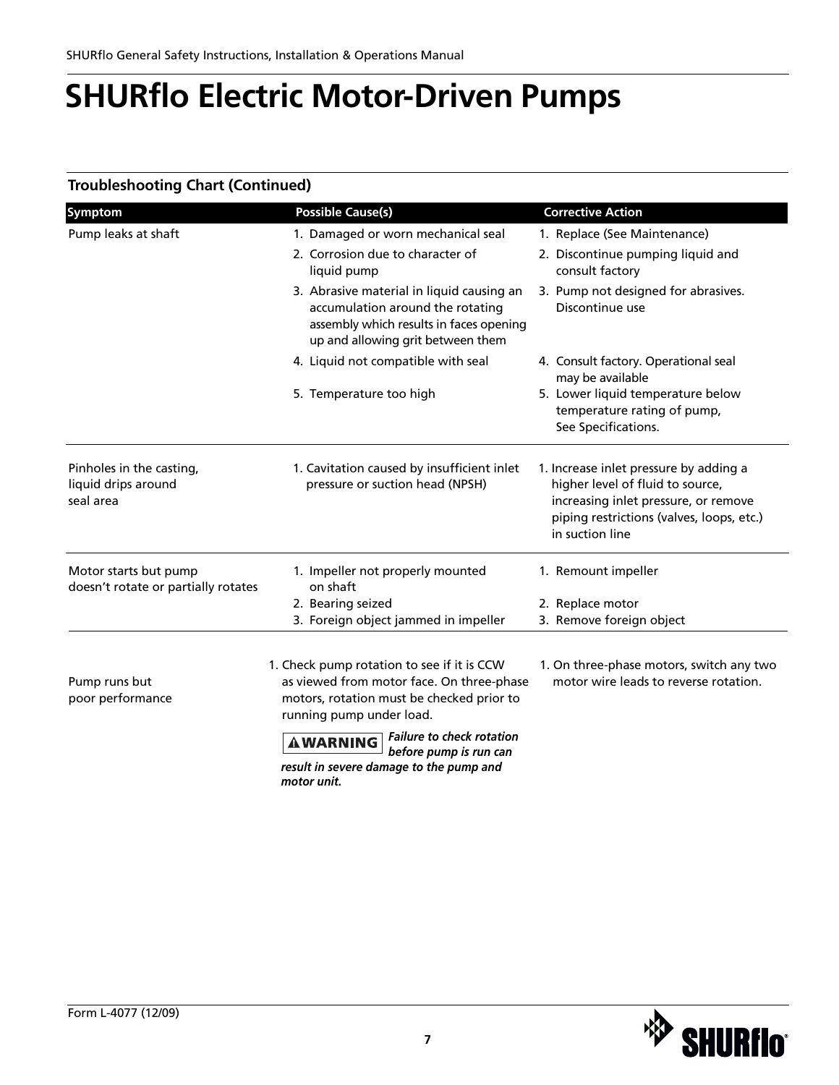### **Troubleshooting Chart (Continued)**

| Symptom                                                      | <b>Possible Cause(s)</b>                                                                                                                                         | <b>Corrective Action</b>                                                                                                                                                           |
|--------------------------------------------------------------|------------------------------------------------------------------------------------------------------------------------------------------------------------------|------------------------------------------------------------------------------------------------------------------------------------------------------------------------------------|
| Pump leaks at shaft                                          | 1. Damaged or worn mechanical seal                                                                                                                               | 1. Replace (See Maintenance)                                                                                                                                                       |
|                                                              | 2. Corrosion due to character of<br>liquid pump                                                                                                                  | 2. Discontinue pumping liquid and<br>consult factory                                                                                                                               |
|                                                              | 3. Abrasive material in liquid causing an<br>accumulation around the rotating<br>assembly which results in faces opening<br>up and allowing grit between them    | 3. Pump not designed for abrasives.<br>Discontinue use                                                                                                                             |
|                                                              | 4. Liquid not compatible with seal                                                                                                                               | 4. Consult factory. Operational seal<br>may be available                                                                                                                           |
|                                                              | 5. Temperature too high                                                                                                                                          | 5. Lower liquid temperature below<br>temperature rating of pump,<br>See Specifications.                                                                                            |
| Pinholes in the casting,<br>liquid drips around<br>seal area | 1. Cavitation caused by insufficient inlet<br>pressure or suction head (NPSH)                                                                                    | 1. Increase inlet pressure by adding a<br>higher level of fluid to source,<br>increasing inlet pressure, or remove<br>piping restrictions (valves, loops, etc.)<br>in suction line |
| Motor starts but pump<br>doesn't rotate or partially rotates | 1. Impeller not properly mounted<br>on shaft                                                                                                                     | 1. Remount impeller                                                                                                                                                                |
|                                                              | 2. Bearing seized                                                                                                                                                | 2. Replace motor                                                                                                                                                                   |
|                                                              | 3. Foreign object jammed in impeller                                                                                                                             | 3. Remove foreign object                                                                                                                                                           |
| Pump runs but<br>poor performance                            | 1. Check pump rotation to see if it is CCW<br>as viewed from motor face. On three-phase<br>motors, rotation must be checked prior to<br>running pump under load. | 1. On three-phase motors, switch any two<br>motor wire leads to reverse rotation.                                                                                                  |
|                                                              |                                                                                                                                                                  |                                                                                                                                                                                    |

*Failure to check rotation before pump is run can result in severe damage to the pump and motor unit.*